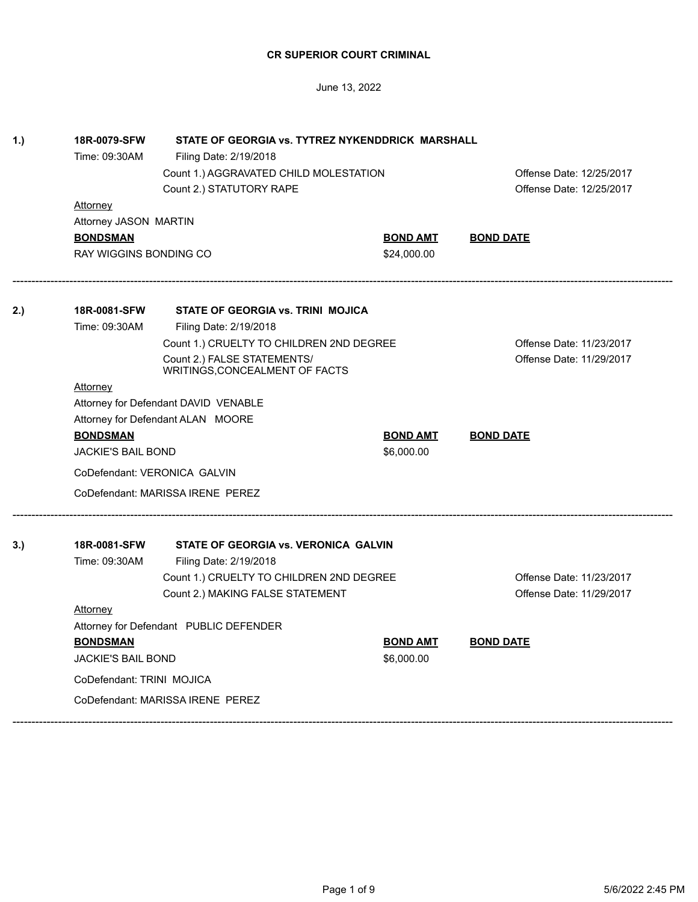| 1.) | 18R-0079-SFW<br>STATE OF GEORGIA vs. TYTREZ NYKENDDRICK MARSHALL |                                                               |                 |                          |  |
|-----|------------------------------------------------------------------|---------------------------------------------------------------|-----------------|--------------------------|--|
|     | Time: 09:30AM                                                    | Filing Date: 2/19/2018                                        |                 |                          |  |
|     |                                                                  | Count 1.) AGGRAVATED CHILD MOLESTATION                        |                 | Offense Date: 12/25/2017 |  |
|     |                                                                  | Count 2.) STATUTORY RAPE                                      |                 | Offense Date: 12/25/2017 |  |
|     | <b>Attorney</b>                                                  |                                                               |                 |                          |  |
|     | Attorney JASON MARTIN                                            |                                                               |                 |                          |  |
|     | <b>BONDSMAN</b>                                                  |                                                               | <b>BOND AMT</b> | <b>BOND DATE</b>         |  |
|     | <b>RAY WIGGINS BONDING CO</b>                                    |                                                               | \$24,000.00     |                          |  |
| 2.) | 18R-0081-SFW                                                     | STATE OF GEORGIA vs. TRINI MOJICA                             |                 |                          |  |
|     | Time: 09:30AM                                                    | Filing Date: 2/19/2018                                        |                 |                          |  |
|     |                                                                  | Count 1.) CRUELTY TO CHILDREN 2ND DEGREE                      |                 | Offense Date: 11/23/2017 |  |
|     |                                                                  | Count 2.) FALSE STATEMENTS/<br>WRITINGS, CONCEALMENT OF FACTS |                 | Offense Date: 11/29/2017 |  |
|     | <b>Attorney</b>                                                  |                                                               |                 |                          |  |
|     |                                                                  | Attorney for Defendant DAVID VENABLE                          |                 |                          |  |
|     |                                                                  | Attorney for Defendant ALAN MOORE                             |                 |                          |  |
|     | <b>BONDSMAN</b>                                                  |                                                               | <b>BOND AMT</b> | <b>BOND DATE</b>         |  |
|     | <b>JACKIE'S BAIL BOND</b>                                        |                                                               | \$6,000.00      |                          |  |
|     |                                                                  | CoDefendant: VERONICA GALVIN                                  |                 |                          |  |
|     |                                                                  | CoDefendant: MARISSA IRENE PEREZ                              |                 |                          |  |
| 3.) | 18R-0081-SFW                                                     | STATE OF GEORGIA vs. VERONICA GALVIN                          |                 |                          |  |
|     | Time: 09:30AM                                                    | Filing Date: 2/19/2018                                        |                 |                          |  |
|     |                                                                  | Count 1.) CRUELTY TO CHILDREN 2ND DEGREE                      |                 | Offense Date: 11/23/2017 |  |
|     |                                                                  | Count 2.) MAKING FALSE STATEMENT                              |                 | Offense Date: 11/29/2017 |  |
|     | <b>Attorney</b>                                                  |                                                               |                 |                          |  |
|     | Attorney for Defendant PUBLIC DEFENDER                           |                                                               |                 |                          |  |
|     | <b>BONDSMAN</b>                                                  |                                                               | <b>BOND AMT</b> | <b>BOND DATE</b>         |  |
|     | <b>JACKIE'S BAIL BOND</b>                                        |                                                               | \$6,000.00      |                          |  |
|     | CoDefendant: TRINI MOJICA                                        |                                                               |                 |                          |  |
|     |                                                                  | CoDefendant: MARISSA IRENE PEREZ                              |                 |                          |  |
|     |                                                                  |                                                               |                 |                          |  |

June 13, 2022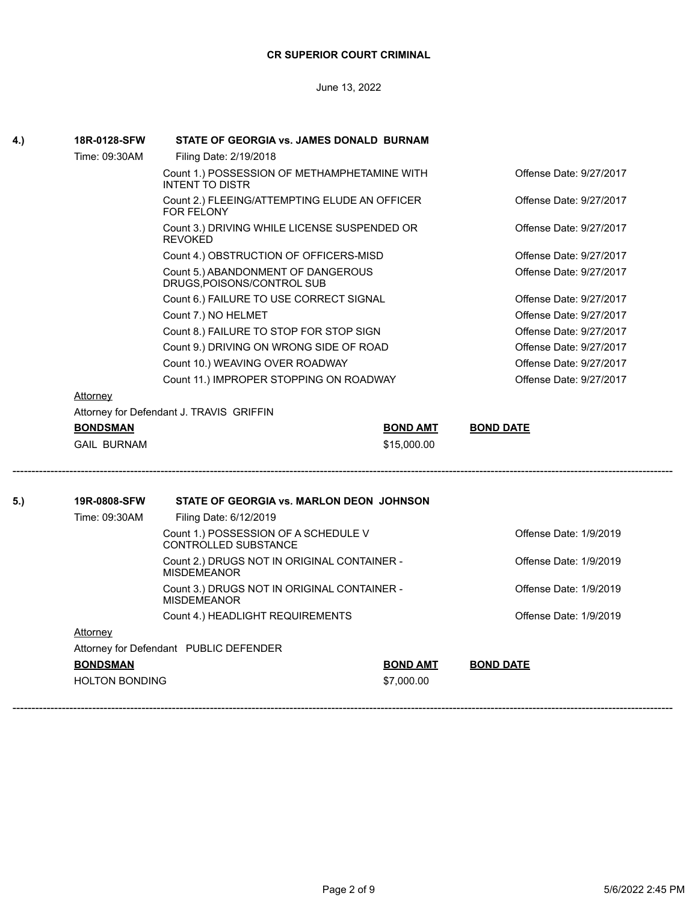June 13, 2022

| 18R-0128-SFW       | STATE OF GEORGIA vs. JAMES DONALD BURNAM                               |                 |                         |
|--------------------|------------------------------------------------------------------------|-----------------|-------------------------|
| Time: 09:30AM      | Filing Date: 2/19/2018                                                 |                 |                         |
|                    | Count 1.) POSSESSION OF METHAMPHETAMINE WITH<br><b>INTENT TO DISTR</b> |                 | Offense Date: 9/27/2017 |
|                    | Count 2.) FLEEING/ATTEMPTING ELUDE AN OFFICER<br><b>FOR FELONY</b>     |                 | Offense Date: 9/27/2017 |
|                    | Count 3.) DRIVING WHILE LICENSE SUSPENDED OR<br><b>REVOKED</b>         |                 | Offense Date: 9/27/2017 |
|                    | Count 4.) OBSTRUCTION OF OFFICERS-MISD                                 |                 | Offense Date: 9/27/2017 |
|                    | Count 5.) ABANDONMENT OF DANGEROUS<br>DRUGS, POISONS/CONTROL SUB       |                 | Offense Date: 9/27/2017 |
|                    | Count 6.) FAILURE TO USE CORRECT SIGNAL                                |                 | Offense Date: 9/27/2017 |
|                    | Count 7.) NO HELMET                                                    |                 | Offense Date: 9/27/2017 |
|                    | Count 8.) FAILURE TO STOP FOR STOP SIGN                                |                 | Offense Date: 9/27/2017 |
|                    | Count 9.) DRIVING ON WRONG SIDE OF ROAD                                |                 | Offense Date: 9/27/2017 |
|                    | Count 10.) WEAVING OVER ROADWAY                                        |                 | Offense Date: 9/27/2017 |
|                    | Count 11.) IMPROPER STOPPING ON ROADWAY                                |                 | Offense Date: 9/27/2017 |
| Attorney           |                                                                        |                 |                         |
|                    | Attorney for Defendant J. TRAVIS GRIFFIN                               |                 |                         |
| <b>BONDSMAN</b>    |                                                                        | <b>BOND AMT</b> | <b>BOND DATE</b>        |
| <b>GAIL BURNAM</b> |                                                                        | \$15,000.00     |                         |
| 19R-0808-SFW       | STATE OF GEORGIA vs. MARLON DEON JOHNSON                               |                 |                         |
| Time: 09:30AM      | Filing Date: 6/12/2019                                                 |                 |                         |
|                    | Count 1.) POSSESSION OF A SCHEDULE V<br>CONTROLLED SUBSTANCE           |                 | Offense Date: 1/9/2019  |
|                    | Count 2.) DRUGS NOT IN ORIGINAL CONTAINER -<br><b>MISDEMEANOR</b>      |                 | Offense Date: 1/9/2019  |
|                    | Count 3.) DRUGS NOT IN ORIGINAL CONTAINER -<br><b>MISDEMEANOR</b>      |                 | Offense Date: 1/9/2019  |
|                    | Count 4.) HEADLIGHT REQUIREMENTS                                       |                 | Offense Date: 1/9/2019  |
| Attorney           |                                                                        |                 |                         |
|                    | Attorney for Defendant PUBLIC DEFENDER                                 |                 |                         |
|                    |                                                                        |                 |                         |
| <b>BONDSMAN</b>    |                                                                        | <b>BOND AMT</b> | <b>BOND DATE</b>        |

HOLTON BONDING \$7,000.00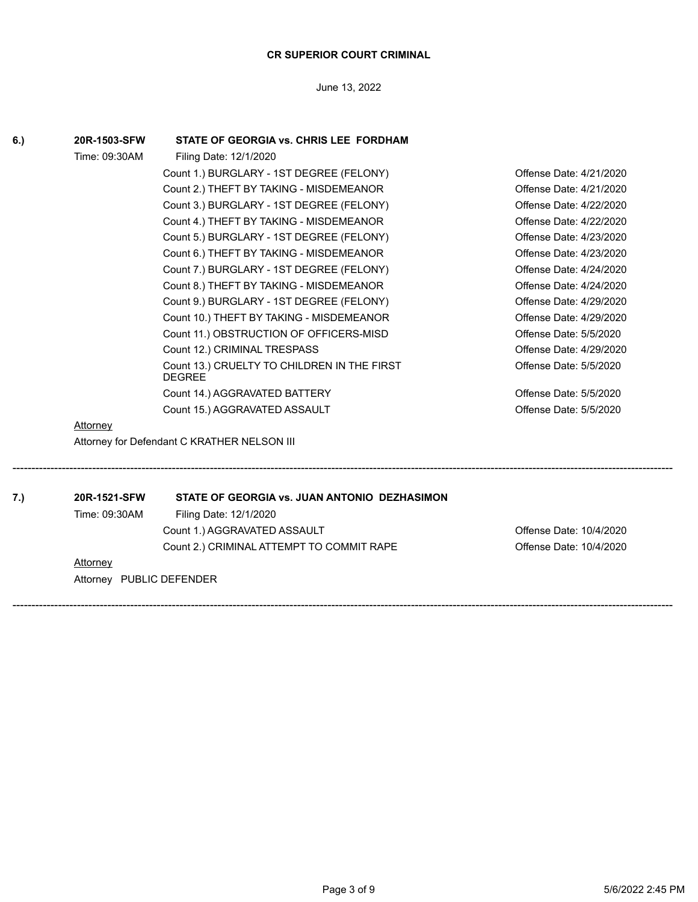June 13, 2022

| 6.) | 20R-1503-SFW  | STATE OF GEORGIA vs. CHRIS LEE FORDHAM                       |                         |
|-----|---------------|--------------------------------------------------------------|-------------------------|
|     | Time: 09:30AM | Filing Date: 12/1/2020                                       |                         |
|     |               | Count 1.) BURGLARY - 1ST DEGREE (FELONY)                     | Offense Date: 4/21/2020 |
|     |               | Count 2.) THEFT BY TAKING - MISDEMEANOR                      | Offense Date: 4/21/2020 |
|     |               | Count 3.) BURGLARY - 1ST DEGREE (FELONY)                     | Offense Date: 4/22/2020 |
|     |               | Count 4.) THEFT BY TAKING - MISDEMEANOR                      | Offense Date: 4/22/2020 |
|     |               | Count 5.) BURGLARY - 1ST DEGREE (FELONY)                     | Offense Date: 4/23/2020 |
|     |               | Count 6.) THEFT BY TAKING - MISDEMEANOR                      | Offense Date: 4/23/2020 |
|     |               | Count 7.) BURGLARY - 1ST DEGREE (FELONY)                     | Offense Date: 4/24/2020 |
|     |               | Count 8.) THEFT BY TAKING - MISDEMEANOR                      | Offense Date: 4/24/2020 |
|     |               | Count 9.) BURGLARY - 1ST DEGREE (FELONY)                     | Offense Date: 4/29/2020 |
|     |               | Count 10.) THEFT BY TAKING - MISDEMEANOR                     | Offense Date: 4/29/2020 |
|     |               | Count 11.) OBSTRUCTION OF OFFICERS-MISD                      | Offense Date: 5/5/2020  |
|     |               | Count 12.) CRIMINAL TRESPASS                                 | Offense Date: 4/29/2020 |
|     |               | Count 13.) CRUELTY TO CHILDREN IN THE FIRST<br><b>DEGREE</b> | Offense Date: 5/5/2020  |
|     |               | Count 14.) AGGRAVATED BATTERY                                | Offense Date: 5/5/2020  |
|     |               | Count 15.) AGGRAVATED ASSAULT                                | Offense Date: 5/5/2020  |
|     | Attorney      |                                                              |                         |
|     |               | Attorney for Defendant C KRATHER NELSON III                  |                         |

------------------------------------------------------------------------------------------------------------------------------------------------------------------------------

------------------------------------------------------------------------------------------------------------------------------------------------------------------------------

**7.) 20R-1521-SFW STATE OF GEORGIA vs. JUAN ANTONIO DEZHASIMON**

Time: 09:30AM Filing Date: 12/1/2020

Count 1.) AGGRAVATED ASSAULT **COUNTY COUNTY AND ACCOUNTY Offense Date: 10/4/2020** Count 2.) CRIMINAL ATTEMPT TO COMMIT RAPE **COMMIT COMMIT RAPE** Offense Date: 10/4/2020

**Attorney** 

Attorney PUBLIC DEFENDER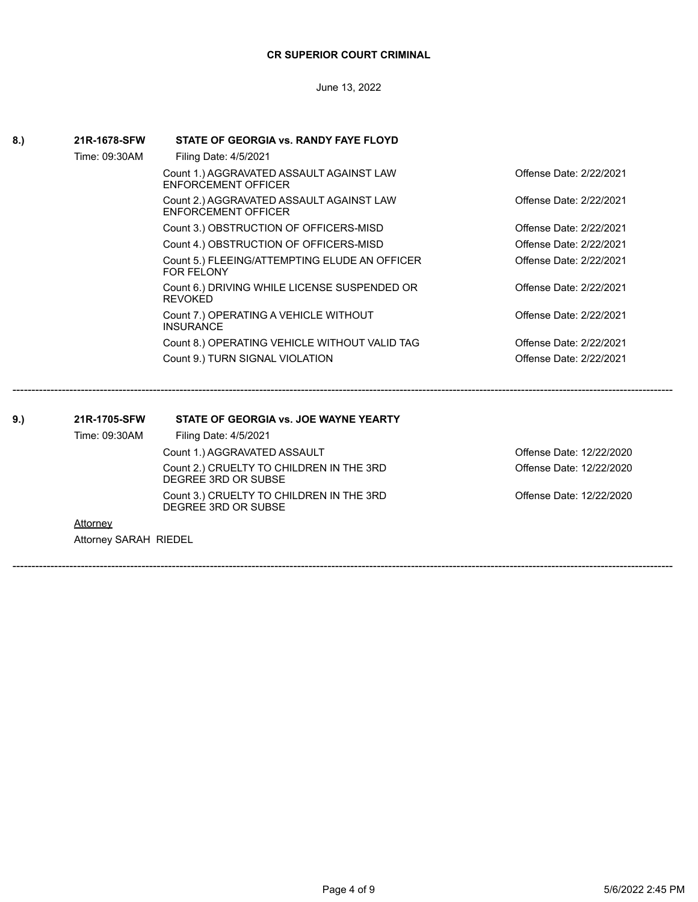June 13, 2022

| 8.) | 21R-1678-SFW          | STATE OF GEORGIA vs. RANDY FAYE FLOYD                                  |                          |
|-----|-----------------------|------------------------------------------------------------------------|--------------------------|
|     | Time: 09:30AM         | Filing Date: 4/5/2021                                                  |                          |
|     |                       | Count 1.) AGGRAVATED ASSAULT AGAINST LAW<br><b>ENFORCEMENT OFFICER</b> | Offense Date: 2/22/2021  |
|     |                       | Count 2.) AGGRAVATED ASSAULT AGAINST LAW<br><b>ENFORCEMENT OFFICER</b> | Offense Date: 2/22/2021  |
|     |                       | Count 3.) OBSTRUCTION OF OFFICERS-MISD                                 | Offense Date: 2/22/2021  |
|     |                       | Count 4.) OBSTRUCTION OF OFFICERS-MISD                                 | Offense Date: 2/22/2021  |
|     |                       | Count 5.) FLEEING/ATTEMPTING ELUDE AN OFFICER<br><b>FOR FELONY</b>     | Offense Date: 2/22/2021  |
|     |                       | Count 6.) DRIVING WHILE LICENSE SUSPENDED OR<br><b>REVOKED</b>         | Offense Date: 2/22/2021  |
|     |                       | Count 7.) OPERATING A VEHICLE WITHOUT<br><b>INSURANCE</b>              | Offense Date: 2/22/2021  |
|     |                       | Count 8.) OPERATING VEHICLE WITHOUT VALID TAG                          | Offense Date: 2/22/2021  |
|     |                       | Count 9.) TURN SIGNAL VIOLATION                                        | Offense Date: 2/22/2021  |
| 9.) | 21R-1705-SFW          | STATE OF GEORGIA vs. JOE WAYNE YEARTY                                  |                          |
|     | Time: 09:30AM         | Filing Date: 4/5/2021                                                  |                          |
|     |                       | Count 1.) AGGRAVATED ASSAULT                                           | Offense Date: 12/22/2020 |
|     |                       | Count 2.) CRUELTY TO CHILDREN IN THE 3RD<br>DEGREE 3RD OR SUBSE        | Offense Date: 12/22/2020 |
|     |                       | Count 3.) CRUELTY TO CHILDREN IN THE 3RD<br>DEGREE 3RD OR SUBSE        | Offense Date: 12/22/2020 |
|     | <b>Attorney</b>       |                                                                        |                          |
|     | Attorney SARAH RIEDEL |                                                                        |                          |
|     |                       |                                                                        |                          |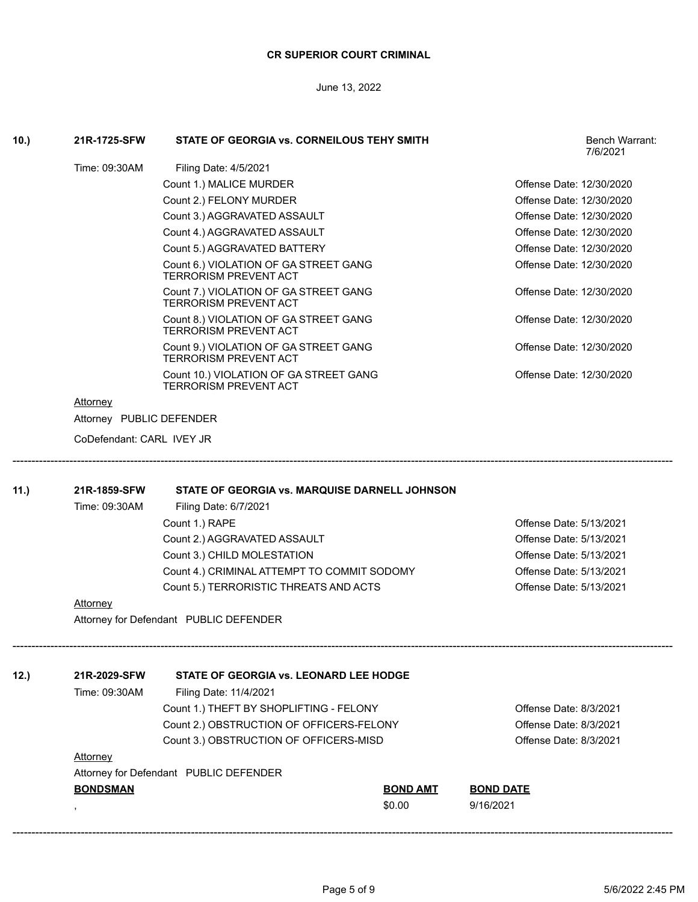June 13, 2022

| 10.) | 21R-1725-SFW              | STATE OF GEORGIA vs. CORNEILOUS TEHY SMITH                             |                 | Bench Warrant:<br>7/6/2021 |
|------|---------------------------|------------------------------------------------------------------------|-----------------|----------------------------|
|      | Time: 09:30AM             | Filing Date: 4/5/2021                                                  |                 |                            |
|      |                           | Count 1.) MALICE MURDER                                                |                 | Offense Date: 12/30/2020   |
|      |                           | Count 2.) FELONY MURDER                                                |                 | Offense Date: 12/30/2020   |
|      |                           | Count 3.) AGGRAVATED ASSAULT                                           |                 | Offense Date: 12/30/2020   |
|      |                           | Count 4.) AGGRAVATED ASSAULT                                           |                 | Offense Date: 12/30/2020   |
|      |                           | Count 5.) AGGRAVATED BATTERY                                           |                 | Offense Date: 12/30/2020   |
|      |                           | Count 6.) VIOLATION OF GA STREET GANG<br><b>TERRORISM PREVENT ACT</b>  |                 | Offense Date: 12/30/2020   |
|      |                           | Count 7.) VIOLATION OF GA STREET GANG<br><b>TERRORISM PREVENT ACT</b>  |                 | Offense Date: 12/30/2020   |
|      |                           | Count 8.) VIOLATION OF GA STREET GANG<br>TERRORISM PREVENT ACT         |                 | Offense Date: 12/30/2020   |
|      |                           | Count 9.) VIOLATION OF GA STREET GANG<br>TERRORISM PREVENT ACT         |                 | Offense Date: 12/30/2020   |
|      |                           | Count 10.) VIOLATION OF GA STREET GANG<br><b>TERRORISM PREVENT ACT</b> |                 | Offense Date: 12/30/2020   |
|      | Attorney                  |                                                                        |                 |                            |
|      | Attorney PUBLIC DEFENDER  |                                                                        |                 |                            |
|      | CoDefendant: CARL IVEY JR |                                                                        |                 |                            |
| 11.) | 21R-1859-SFW              | STATE OF GEORGIA vs. MARQUISE DARNELL JOHNSON                          |                 |                            |
|      | Time: 09:30AM             | Filing Date: 6/7/2021                                                  |                 |                            |
|      |                           | Count 1.) RAPE                                                         |                 | Offense Date: 5/13/2021    |
|      |                           | Count 2.) AGGRAVATED ASSAULT                                           |                 | Offense Date: 5/13/2021    |
|      |                           | Count 3.) CHILD MOLESTATION                                            |                 | Offense Date: 5/13/2021    |
|      |                           | Count 4.) CRIMINAL ATTEMPT TO COMMIT SODOMY                            |                 | Offense Date: 5/13/2021    |
|      |                           | Count 5.) TERRORISTIC THREATS AND ACTS                                 |                 | Offense Date: 5/13/2021    |
|      | <u>Attorney</u>           |                                                                        |                 |                            |
|      |                           | Attorney for Defendant PUBLIC DEFENDER                                 |                 |                            |
| 12.) | 21R-2029-SFW              | STATE OF GEORGIA vs. LEONARD LEE HODGE                                 |                 |                            |
|      | Time: 09:30AM             | Filing Date: 11/4/2021                                                 |                 |                            |
|      |                           | Count 1.) THEFT BY SHOPLIFTING - FELONY                                |                 | Offense Date: 8/3/2021     |
|      |                           | Count 2.) OBSTRUCTION OF OFFICERS-FELONY                               |                 | Offense Date: 8/3/2021     |
|      |                           | Count 3.) OBSTRUCTION OF OFFICERS-MISD                                 |                 | Offense Date: 8/3/2021     |
|      | <b>Attorney</b>           |                                                                        |                 |                            |
|      |                           | Attorney for Defendant PUBLIC DEFENDER                                 |                 |                            |
|      | <b>BONDSMAN</b>           |                                                                        | <b>BOND AMT</b> | <b>BOND DATE</b>           |
|      |                           |                                                                        | \$0.00          | 9/16/2021                  |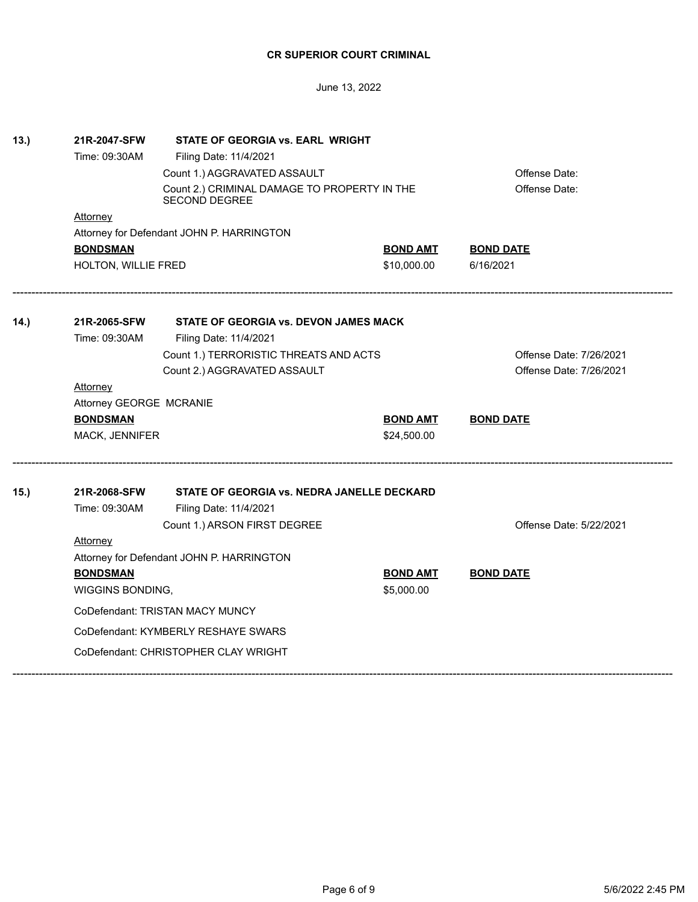June 13, 2022

| 13.) | 21R-2047-SFW                                                         | STATE OF GEORGIA vs. EARL WRIGHT           |                 |                         |  |
|------|----------------------------------------------------------------------|--------------------------------------------|-----------------|-------------------------|--|
|      | Time: 09:30AM                                                        | Filing Date: 11/4/2021                     |                 |                         |  |
|      |                                                                      | Count 1.) AGGRAVATED ASSAULT               |                 | Offense Date:           |  |
|      | Count 2.) CRIMINAL DAMAGE TO PROPERTY IN THE<br><b>SECOND DEGREE</b> |                                            |                 | Offense Date:           |  |
|      | <b>Attorney</b>                                                      |                                            |                 |                         |  |
|      |                                                                      | Attorney for Defendant JOHN P. HARRINGTON  |                 |                         |  |
|      | <b>BONDSMAN</b>                                                      |                                            | <b>BOND AMT</b> | <b>BOND DATE</b>        |  |
|      | HOLTON, WILLIE FRED                                                  |                                            | \$10,000.00     | 6/16/2021               |  |
| 14.) | 21R-2065-SFW                                                         | STATE OF GEORGIA vs. DEVON JAMES MACK      |                 |                         |  |
|      | Time: 09:30AM                                                        | Filing Date: 11/4/2021                     |                 |                         |  |
|      |                                                                      | Count 1.) TERRORISTIC THREATS AND ACTS     |                 | Offense Date: 7/26/2021 |  |
|      |                                                                      | Count 2.) AGGRAVATED ASSAULT               |                 | Offense Date: 7/26/2021 |  |
|      | <b>Attorney</b>                                                      |                                            |                 |                         |  |
|      | Attorney GEORGE MCRANIE                                              |                                            |                 |                         |  |
|      | <b>BONDSMAN</b>                                                      |                                            | <b>BOND AMT</b> | <b>BOND DATE</b>        |  |
|      | MACK, JENNIFER                                                       |                                            | \$24,500.00     |                         |  |
| 15.) | 21R-2068-SFW                                                         | STATE OF GEORGIA vs. NEDRA JANELLE DECKARD |                 |                         |  |
|      | Time: 09:30AM                                                        | Filing Date: 11/4/2021                     |                 |                         |  |
|      |                                                                      | Count 1.) ARSON FIRST DEGREE               |                 | Offense Date: 5/22/2021 |  |
|      | <b>Attorney</b>                                                      |                                            |                 |                         |  |
|      | Attorney for Defendant JOHN P. HARRINGTON                            |                                            |                 |                         |  |
|      | <b>BONDSMAN</b>                                                      |                                            | <b>BOND AMT</b> | <b>BOND DATE</b>        |  |
|      | WIGGINS BONDING,                                                     |                                            | \$5,000.00      |                         |  |
|      | CoDefendant: TRISTAN MACY MUNCY                                      |                                            |                 |                         |  |
|      | CoDefendant: KYMBERLY RESHAYE SWARS                                  |                                            |                 |                         |  |
|      |                                                                      | CoDefendant: CHRISTOPHER CLAY WRIGHT       |                 |                         |  |
|      |                                                                      |                                            |                 |                         |  |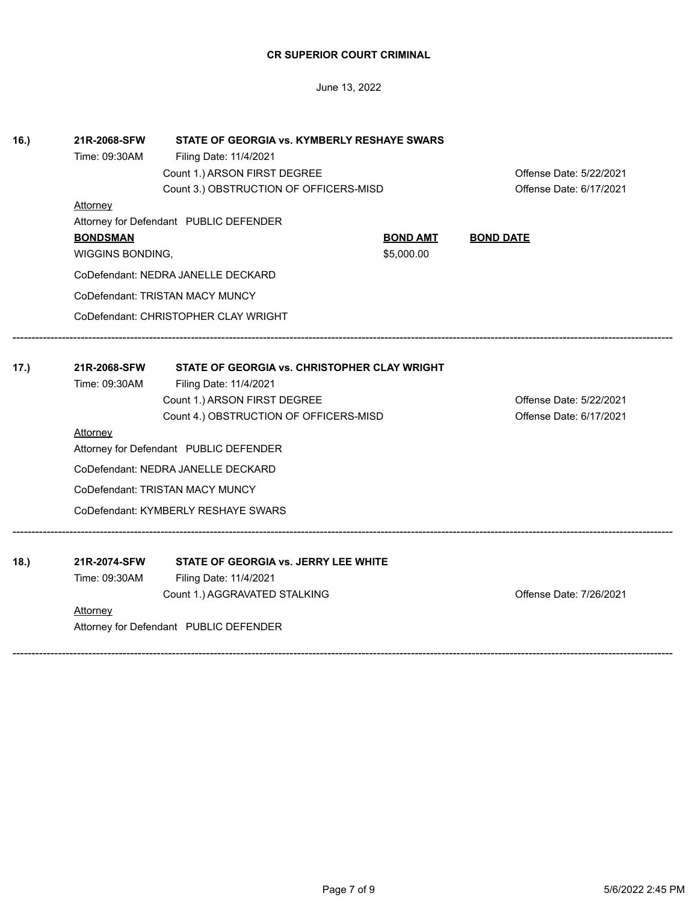| 18.) | 21R-2074-SFW  | STATE OF GEORGIA vs. JERRY LEE WHITE   |                         |
|------|---------------|----------------------------------------|-------------------------|
|      | Time: 09:30AM | Filing Date: 11/4/2021                 |                         |
|      |               | Count 1.) AGGRAVATED STALKING          | Offense Date: 7/26/2021 |
|      | Attorney      |                                        |                         |
|      |               | Attorney for Defendant PUBLIC DEFENDER |                         |
|      |               |                                        |                         |
|      |               |                                        |                         |
|      |               |                                        |                         |
|      |               |                                        |                         |
|      |               |                                        |                         |
|      |               |                                        |                         |
|      |               |                                        |                         |
|      |               |                                        |                         |
|      |               |                                        |                         |
|      |               |                                        |                         |
|      |               |                                        |                         |
|      |               |                                        |                         |
|      |               |                                        |                         |
|      |               |                                        |                         |
|      |               |                                        |                         |

| Attorney     |               |                                                                                                                                                                                                                                                                                                                                                       |                                                                                        |
|--------------|---------------|-------------------------------------------------------------------------------------------------------------------------------------------------------------------------------------------------------------------------------------------------------------------------------------------------------------------------------------------------------|----------------------------------------------------------------------------------------|
|              |               |                                                                                                                                                                                                                                                                                                                                                       | Offense Date: 6/17/2021                                                                |
|              |               |                                                                                                                                                                                                                                                                                                                                                       | Offense Date: 5/22/2021                                                                |
|              |               |                                                                                                                                                                                                                                                                                                                                                       |                                                                                        |
| 21R-2068-SFW |               |                                                                                                                                                                                                                                                                                                                                                       |                                                                                        |
|              |               |                                                                                                                                                                                                                                                                                                                                                       |                                                                                        |
|              |               |                                                                                                                                                                                                                                                                                                                                                       |                                                                                        |
|              |               |                                                                                                                                                                                                                                                                                                                                                       |                                                                                        |
|              |               | \$5,000.00                                                                                                                                                                                                                                                                                                                                            |                                                                                        |
|              | Time: 09:30AM | WIGGINS BONDING,<br>CoDefendant: NEDRA JANELLE DECKARD<br>CoDefendant: TRISTAN MACY MUNCY<br>CoDefendant: CHRISTOPHER CLAY WRIGHT<br>Filing Date: 11/4/2021<br>Count 1.) ARSON FIRST DEGREE<br>Attorney for Defendant PUBLIC DEFENDER<br>CoDefendant: NEDRA JANELLE DECKARD<br>CoDefendant: TRISTAN MACY MUNCY<br>CoDefendant: KYMBERLY RESHAYE SWARS | STATE OF GEORGIA vs. CHRISTOPHER CLAY WRIGHT<br>Count 4.) OBSTRUCTION OF OFFICERS-MISD |

June 13, 2022

**BONDSMAN BOND AMT BOND DATE**

Count 1.) ARSON FIRST DEGREE **COUNTY COUNTY AREA** Offense Date: 5/22/2021 Count 3.) OBSTRUCTION OF OFFICERS-MISD Count 3.) Offense Date: 6/17/2021

**16.) 21R-2068-SFW STATE OF GEORGIA vs. KYMBERLY RESHAYE SWARS**

Time: 09:30AM Filing Date: 11/4/2021

Attorney for Defendant PUBLIC DEFENDER

**Attorney**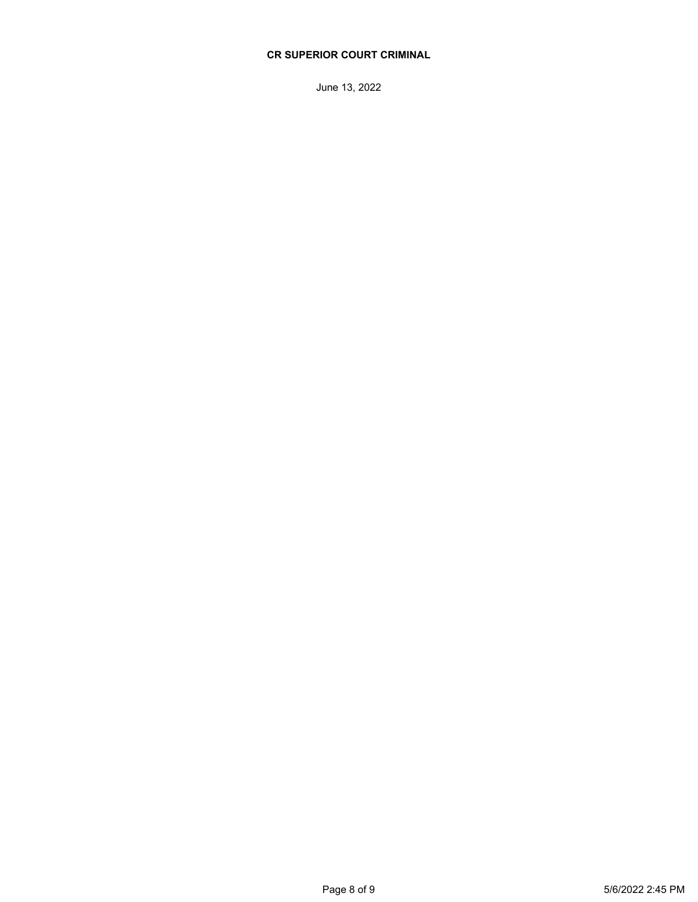June 13, 2022